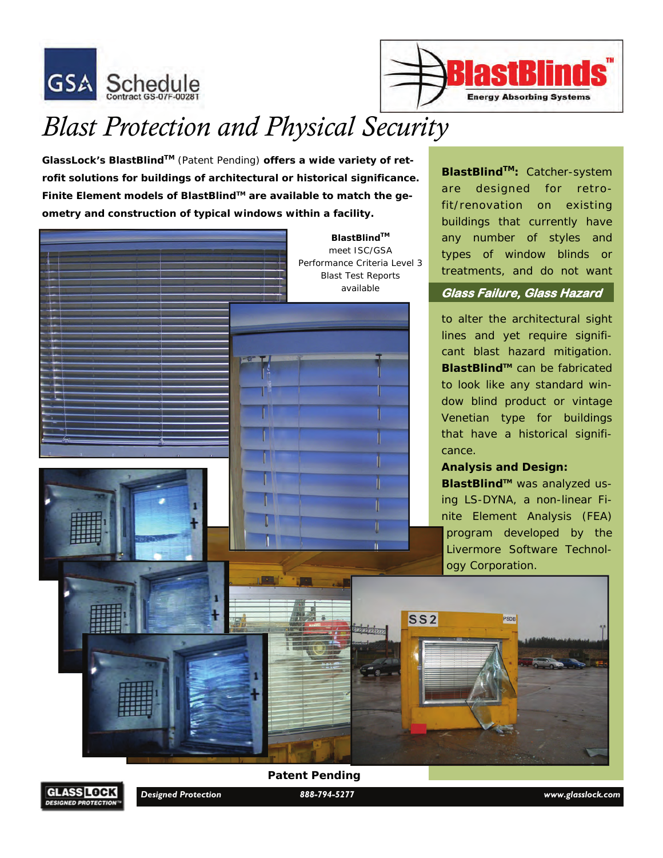

## *Blast Protection and Physical Security*

*GlassLock's BlastBlindTM (Patent Pending) offers a wide variety of retrofit solutions for buildings of architectural or historical significance. Finite Element models of BlastBlindTM are available to match the geometry and construction of typical windows within a facility.* 



GLASSLOCK **ESIGNED PROTECTI** 

**Patent Pending** 

*Designed Protection 888-794-5277 www.glasslock.com* 

*BlastBlindTM***:** Catcher-system are designed for retrofit/renovation on existing

**lastBlin** 

**Energy Absorbing Systems**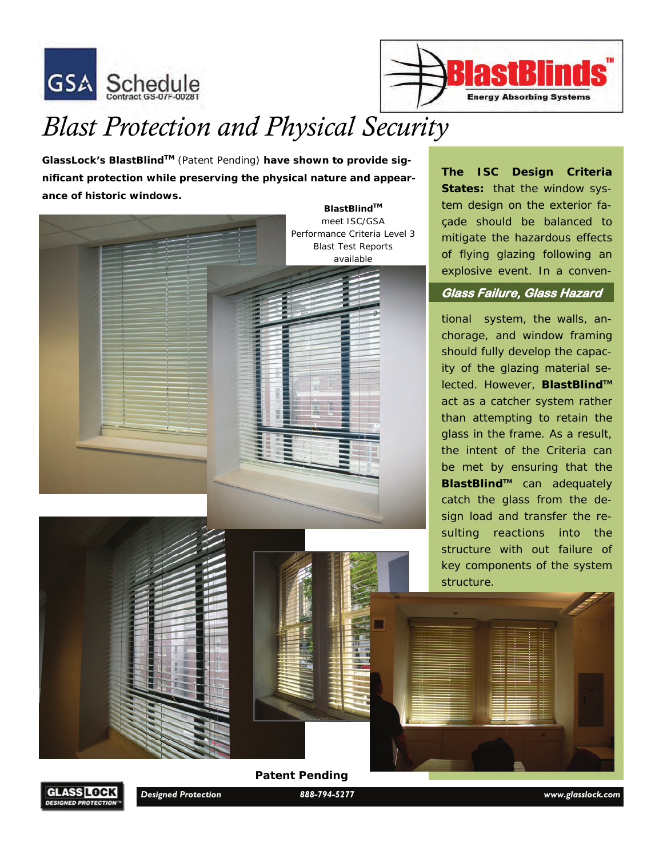

## *Blast Protection and Physical Security*

*GlassLock's BlastBlindTM (Patent Pending) have shown to provide significant protection while preserving the physical nature and appearance of historic windows.* 



*The ISC Design Criteria States:* that the window system design on the exterior façade should be balanced to mitigate the hazardous effects of flying glazing following an explosive event. In a conven-

**lastBlin** 

**Energy Absorbing Systems** 

## **Glass Failure, Glass Hazard**

tional system, the walls, anchorage, and window framing should fully develop the capacity of the glazing material selected. However, *BlastBlindTM* act as a catcher system rather than attempting to retain the glass in the frame. As a result, the intent of the Criteria can be met by ensuring that the **BlastBlind™** can adequately catch the glass from the design load and transfer the resulting reactions into the structure with out failure of key components of the system structure.



*Designed Protection 888-794-5277 www.glasslock.com* 

**Patent Pending**